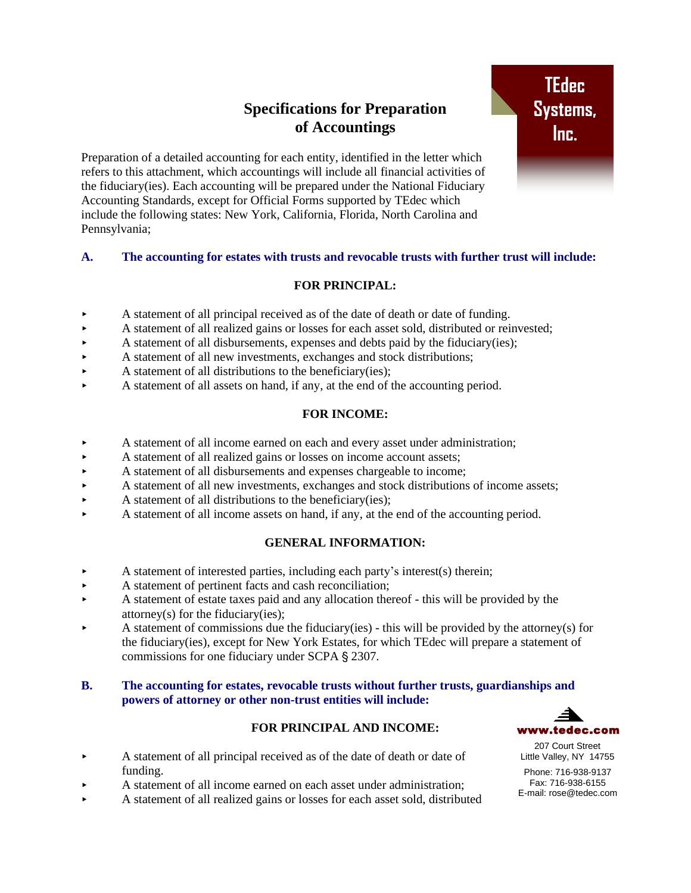# **Specifications for Preparation of Accountings**

Preparation of a detailed accounting for each entity, identified in the letter which refers to this attachment, which accountings will include all financial activities of the fiduciary(ies). Each accounting will be prepared under the National Fiduciary Accounting Standards, except for Official Forms supported by TEdec which include the following states: New York, California, Florida, North Carolina and Pennsylvania;

## **A. The accounting for estates with trusts and revocable trusts with further trust will include:**

## **FOR PRINCIPAL:**

- A statement of all principal received as of the date of death or date of funding.
- A statement of all realized gains or losses for each asset sold, distributed or reinvested;
- A statement of all disbursements, expenses and debts paid by the fiduciary(ies);
- A statement of all new investments, exchanges and stock distributions;
- $\blacktriangleright$  A statement of all distributions to the beneficiary(ies);
- A statement of all assets on hand, if any, at the end of the accounting period.

## **FOR INCOME:**

- A statement of all income earned on each and every asset under administration;
- A statement of all realized gains or losses on income account assets;
- A statement of all disbursements and expenses chargeable to income;
- A statement of all new investments, exchanges and stock distributions of income assets;
- $\blacktriangleright$  A statement of all distributions to the beneficiary(ies);
- A statement of all income assets on hand, if any, at the end of the accounting period.

## **GENERAL INFORMATION:**

- A statement of interested parties, including each party's interest(s) therein;
- A statement of pertinent facts and cash reconciliation;
- A statement of estate taxes paid and any allocation thereof this will be provided by the attorney(s) for the fiduciary(ies);
- A statement of commissions due the fiduciary(ies) this will be provided by the attorney(s) for the fiduciary(ies), except for New York Estates, for which TEdec will prepare a statement of commissions for one fiduciary under SCPA § 2307.

#### **B. The accounting for estates, revocable trusts without further trusts, guardianships and powers of attorney or other non-trust entities will include:**

## **FOR PRINCIPAL AND INCOME:**

- A statement of all principal received as of the date of death or date of funding.
- A statement of all income earned on each asset under administration;
- A statement of all realized gains or losses for each asset sold, distributed



207 Court Street Little Valley, NY 14755

Phone: 716-938-9137 Fax: 716-938-6155 E-mail: rose@tedec.com